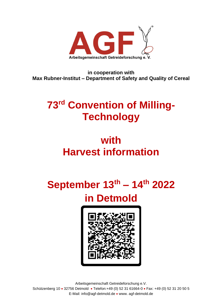

**in cooperation with Max Rubner-Institut – Department of Safety and Quality of Cereal**

## **73<sup>rd</sup> Convention of Milling-Technology**

### **with Harvest information**

# **September 13 th – 14 th 2022 in Detmold**



Arbeitsgemeinschaft Getreideforschung e.V. Schützenberg 10 • 32756 Detmold • Telefon:+49 (0) 52 31 61664-0 • Fax: +49 (0) 52 31 20 50 5 E-Mail: info@agf-detmold.de • www. agf-detmold.de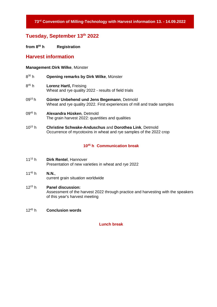**73 rd Convention of Milling-Technology with Harvest information 13. - 14.09.2022**

#### **Tuesday, September 13 th 2022**

**from 8 <sup>00</sup> h Registration**

#### **Harvest information**

#### **Management:Dirk Wilke**, Münster

- $8^{30} h$ **Opening remarks by Dirk Wilke, Münster**
- $8^{45}$  h **Lorenz Hartl, Freising** Wheat and rye quality 2022 - results of field trials
- 09<sup>15</sup>h **Günter Unbehend und Jens Begemann**, Detmold Wheat and rye quality 2022. First experiences of mill and trade samples
- 09<sup>45</sup> h **Alexandra Hüsken**, Detmold The grain harvest 2022: quantities and qualities
- 10<sup>15</sup> h **Christine Schwake-Anduschus** and **Dorothea Link**, Detmold Occurrence of mycotoxins in wheat and rye samples of the 2022 crop

#### **10<sup>45</sup> h Communication break**

11<sup>15</sup> h **Dirk Rentel**, Hannover Presentation of new varieties in wheat and rye 2022

#### 11<sup>45</sup> h **N.N.**, current grain situation worldwide

#### 12<sup>15</sup> h **Panel discussion:** Assessment of the harvest 2022 through practice and harvesting with the speakers of this year's harvest meeting

#### $12^{45} h$ **Conclusion words**

#### **Lunch break**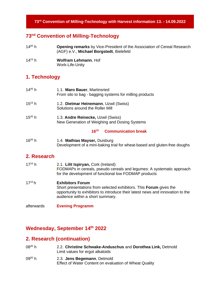#### **73 rd Convention of Milling-Technology with Harvest information 13. - 14.09.2022**

#### **73 nd Convention of Milling-Technology**

| $14^{00}$ h | <b>Opening remarks</b> by Vice-President of the Association of Cereal Research |
|-------------|--------------------------------------------------------------------------------|
|             | (AGF) e.V., Michael Borgstedt, Bielefeld                                       |

14<sup>15</sup> h **Wolfram Lehmann**, Hof Work-Life-Unity

### **1. Technology**

| $14^{45}$ h | 1.1. Maro Bauer, Martinsried<br>From silo to bag - bagging systems for milling products                    |
|-------------|------------------------------------------------------------------------------------------------------------|
| $15^{15}$ h | 1.2. Dietmar Heinemann, Uzwil (Swiss)<br>Solutions around the Roller Mill                                  |
| $15^{45}$ h | 1.3. Andre Reinecke, Uzwil (Swiss)<br>New Generation of Weighing and Dosing Systems                        |
|             | $16^{15}$<br><b>Communication break</b>                                                                    |
| $16^{45}$ h | 1.4. Mathias Mayser, Duisburg<br>Development of a mini-baking trial for wheat-based and gluten-free doughs |

#### **2. Research**

| $17^{15}$ h | 2.1. Lilit Ispiryan, Cork (Ireland)<br>FODMAPs in cereals, pseudo cereals and legumes: A systematic approach<br>for the development of functional low FODMAP products                                               |
|-------------|---------------------------------------------------------------------------------------------------------------------------------------------------------------------------------------------------------------------|
| $17^{15}h$  | <b>Exhibitors Forum</b><br>Short presentations from selected exhibitors. This Forum gives the<br>opportunity to exhibitors to introduce their latest news and innovation to the<br>audience within a short summary. |
| afterwards  | <b>Evening Programm</b>                                                                                                                                                                                             |

#### **Wednesday, September 14 th 2022**

#### **2. Research (continuation)**

- 08<sup>30</sup> h 2.2. **Christine Schwake-Anduschus** and **Dorothea Link,** Detmold Limit values for ergot alkaloids
- 09<sup>00</sup> h 2.3. **Jens Begemann**, Detmold Effect of Water Content on evaluation of Wheat Quality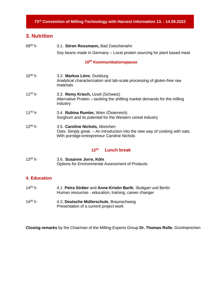### **3. Nutrition**

| $09^{30}$ h | 3.1. Sören Rossmann, Bad Zwischenahn                                                                                                                          |  |
|-------------|---------------------------------------------------------------------------------------------------------------------------------------------------------------|--|
|             | Soy beans made in Germany – Local protein sourcing for plant based meat                                                                                       |  |
|             | 10 <sup>00</sup> Kommunikationspause                                                                                                                          |  |
| $10^{30}$ h | 3.2. Markus Löns, Duisburg<br>Analytical characterization and lab-scale processing of gluten-free raw<br>materials                                            |  |
| $11^{00}$ h | 3.3. Remy Kriech, Uzwil (Schweiz)<br>Alternative Protein – tackling the shifting market demands for the milling<br>industry                                   |  |
| $11^{30} h$ | 3.4. Rubina Rumler, Wien (Österreich)<br>Sorghum and its potential for the Western cereal industry                                                            |  |
| $12^{00}$ h | 3.5. Caroline Nichols, München<br>Oats. Simply great. - An introduction into the new way of cooking with oats.<br>With porridge-entrepreneur Caroline Nichols |  |
|             | <b>Lunch break</b><br>$12^{30}$                                                                                                                               |  |
| $13^{30}$ h | 3.6. Susanne Jorre, Köln<br><b>Options for Environmental Assessment of Products</b>                                                                           |  |
|             |                                                                                                                                                               |  |

#### **4. Education**

- $14^{00}$  h <sup>00</sup> h 4.1. **Petra Sträter** and **Anne-Kristin Barth**, Stuttgart und Berlin Human resources - education, training, career changer  $14^{30} h$
- 4.2. Deutsche Müllerschule, Braunschweig Presentation of a current project work

**Closing remarks** by the Chairman of the Milling-Experts Group **Dr. Thomas Rolle**, Grünhainichen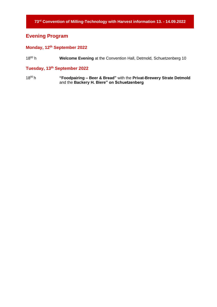### **Evening Program**

#### **Monday, 12 th September 2022**

 $18^{00}$  h Welcome Evening at the Convention Hall, Detmold, Schuetzenberg 10

#### **Tuesday, 13 th September 2022**

18<sup>00</sup> h **"Foodpairing – Beer & Bread"** with the **Privat-Brewery Strate Detmold**  and the **Backery H. Biere" on Schuetzenberg**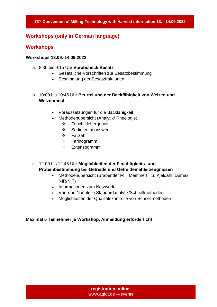#### **Workshops (only in German language)**

#### **Workshops**

#### **Workshops 13.09.-14.09.2022**

- a. 8:30 bis 9:15 Uhr **Vorabcheck Besatz**
	- Gesetzliche Vorschriften zur Besatzbestimmung
	- Bestimmung der Besatzfraktionen
- b. 10:00 bis 10:45 Uhr **Beurteilung der Backfähigkeit von Weizen und Weizenmehl**
	- Voraussetzungen für die Backfähigkeit
	- Methodenübersicht (Analytik/ Rheologie)
		- ❖ Feuchtklebergehalt
		- ❖ Sedimentationswert
		- ❖ Fallzahl
		- ❖ Farinogramm
		- ❖ Extensogramm
- c. 12:00 bis 12:45 Uhr **Möglichkeiten der Feuchtigkeits- und Proteinbestimmung bei Getreide und Getreidemahlerzeugnissen** 
	- Methodenübersicht (Brabender MT, Memmert TS, Kjeldahl, Dumas, NIR/NIT)
	- Informationen zum Netzwerk
	- Vor- und Nachteile Standardanalytik/Schnellmethoden
	- Möglichkeiten der Qualitätskontrolle von Schnellmethoden

#### **Maximal 5 Teilnehmer je Workshop, Anmeldung erforderlich!**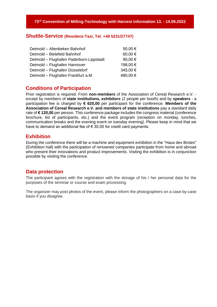#### **Shuttle-Service (Residenz-Taxi, Tel. +49 5231/27747)**

| Detmold - Altenbeken Bahnhof            | 50,00 €  |
|-----------------------------------------|----------|
| Detmold - Bielefeld Bahnhof             | 60,00€   |
| Detmold - Flughafen Paderborn-Lippstadt | 90,00 €  |
| Detmold - Flughafen Hannover            | 198,00 € |
| Detmold - Flughafen Düsseldorf          | 345,00 € |
| Detmold - Flughafen Frankfurt a.M.      | 480,00 € |
|                                         |          |

#### **Conditions of Participation**

Prior registration is required. From **non-members** of the Association of Cereal Research e.V. except by members of **state institutions, exhibitors** (2 people per booth) and by **speakers** - a participation fee is charged by **€ 620,00** per participant for the conference. **Members of the Association of Cereal Research e.V. and members of state institutions** pay a standard daily rate of **€ 120,00** per person. This conference package includes the congress material (conference brochure, list of participants, etc.) and the event program (reception on monday, lunches, communication breaks and the evening event on tuesday evening). Please keep in mind that we have to demand an additional fee of  $\epsilon$  30,00 for credit card payments.

#### **Exhibition**

During the conference there will be a machine and equipment exhibition in the "Haus des Brotes" (Exhibition hall) with the participation of renowned companies participate from home and abroad who present their innovations and product improvements. Visiting the exhibition is in conjunction possible by visiting the conference.

#### **Data protection**

The participant agrees with the registration with the storage of his / her personal data for the purposes of the seminar or course and exam processing.

The organizer may post photos of the event, please inform the photographers on a case-by-case basis if you disagree.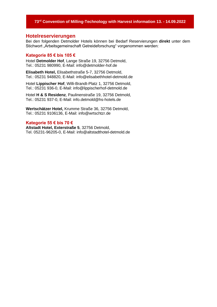#### **73 rd Convention of Milling-Technology with Harvest information 13. - 14.09.2022**

#### **Hotelreservierungen**

Bei den folgenden Detmolder Hotels können bei Bedarf Reservierungen **direkt** unter dem Stichwort "Arbeitsgemeinschaft Getreideforschung" vorgenommen werden:

#### **Kategorie 85 € bis 105 €**

Hotel **Detmolder Hof**, Lange Straße 19, 32756 Detmold, Tel.: 05231 980990, E-Mail: info@detmolder-hof.de

**Elisabeth Hotel,** Elisabethstraße 5-7, 32756 Detmold, Tel.: 05231 948820, E-Mail: info@elisabethhotel-detmold.de

Hotel **Lippischer Hof**, Willi-Brandt-Platz 1, 32756 Detmold, Tel.: 05231 936-0, E-Mail: info@lippischerhof-detmold.de

Hotel **H & S Residenz**, Paulinenstraße 19, 32756 Detmold, Tel.: 05231 937-0, E-Mail: info.detmold@hs-hotels.de

**Wertschätzer Hotel,** Krumme Straße 36, 32756 Detmold, Tel.: 05231 9106136, E-Mail: info@wrtschtzr.de

#### **Kategorie 55 € bis 70 €**

**Altstadt Hotel, Exterstraße 5**, 32756 Detmold, Tel. 05231-96205-0, E-Mail: info@altstadthotel-detmold.de